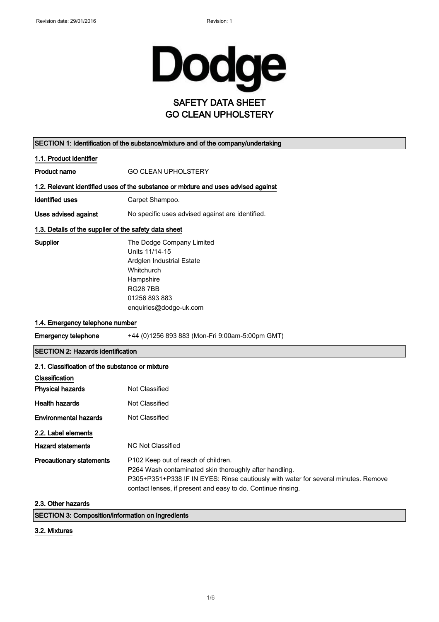

| SECTION 1: Identification of the substance/mixture and of the company/undertaking |                                                                                                                                                                                                                                                     |  |  |
|-----------------------------------------------------------------------------------|-----------------------------------------------------------------------------------------------------------------------------------------------------------------------------------------------------------------------------------------------------|--|--|
| 1.1. Product identifier                                                           |                                                                                                                                                                                                                                                     |  |  |
| <b>Product name</b>                                                               | <b>GO CLEAN UPHOLSTERY</b>                                                                                                                                                                                                                          |  |  |
|                                                                                   | 1.2. Relevant identified uses of the substance or mixture and uses advised against                                                                                                                                                                  |  |  |
| Identified uses                                                                   | Carpet Shampoo.                                                                                                                                                                                                                                     |  |  |
| <b>Uses advised against</b>                                                       | No specific uses advised against are identified.                                                                                                                                                                                                    |  |  |
| 1.3. Details of the supplier of the safety data sheet                             |                                                                                                                                                                                                                                                     |  |  |
| Supplier                                                                          | The Dodge Company Limited<br>Units 11/14-15<br>Ardglen Industrial Estate<br>Whitchurch<br>Hampshire<br><b>RG287BB</b><br>01256 893 883<br>enquiries@dodge-uk.com                                                                                    |  |  |
| 1.4. Emergency telephone number                                                   |                                                                                                                                                                                                                                                     |  |  |
| <b>Emergency telephone</b>                                                        | +44 (0)1256 893 883 (Mon-Fri 9:00am-5:00pm GMT)                                                                                                                                                                                                     |  |  |
| <b>SECTION 2: Hazards identification</b>                                          |                                                                                                                                                                                                                                                     |  |  |
| 2.1. Classification of the substance or mixture                                   |                                                                                                                                                                                                                                                     |  |  |
| Classification                                                                    |                                                                                                                                                                                                                                                     |  |  |
| <b>Physical hazards</b>                                                           | Not Classified                                                                                                                                                                                                                                      |  |  |
| <b>Health hazards</b>                                                             | Not Classified                                                                                                                                                                                                                                      |  |  |
| <b>Environmental hazards</b>                                                      | Not Classified                                                                                                                                                                                                                                      |  |  |
| 2.2. Label elements                                                               |                                                                                                                                                                                                                                                     |  |  |
| <b>Hazard statements</b>                                                          | <b>NC Not Classified</b>                                                                                                                                                                                                                            |  |  |
| <b>Precautionary statements</b>                                                   | P102 Keep out of reach of children.<br>P264 Wash contaminated skin thoroughly after handling.<br>P305+P351+P338 IF IN EYES: Rinse cautiously with water for several minutes. Remove<br>contact lenses, if present and easy to do. Continue rinsing. |  |  |
| 2.3. Other hazards                                                                |                                                                                                                                                                                                                                                     |  |  |

 $\mathbb{R}^2$ 

SECTION 3: Composition/information on ingredients

3.2. Mixtures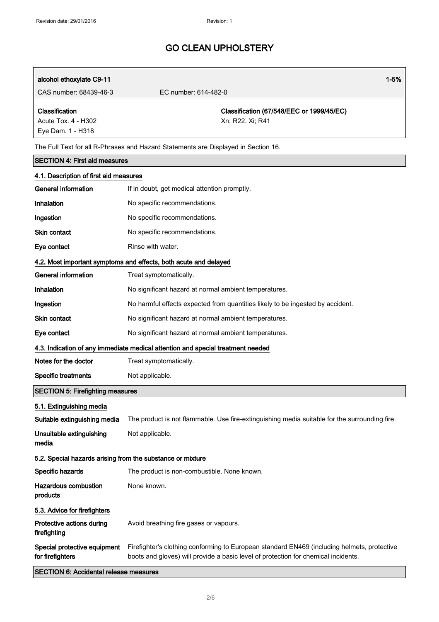| alcohol ethoxylate C9-11<br>CAS number: 68439-46-3                                 | $1 - 5%$<br>EC number: 614-482-0                                                                                                                                                  |  |  |  |
|------------------------------------------------------------------------------------|-----------------------------------------------------------------------------------------------------------------------------------------------------------------------------------|--|--|--|
|                                                                                    |                                                                                                                                                                                   |  |  |  |
| Classification                                                                     | Classification (67/548/EEC or 1999/45/EC)                                                                                                                                         |  |  |  |
| Acute Tox. 4 - H302<br>Eye Dam. 1 - H318                                           | Xn; R22. Xi; R41                                                                                                                                                                  |  |  |  |
|                                                                                    |                                                                                                                                                                                   |  |  |  |
| The Full Text for all R-Phrases and Hazard Statements are Displayed in Section 16. |                                                                                                                                                                                   |  |  |  |
| <b>SECTION 4: First aid measures</b>                                               |                                                                                                                                                                                   |  |  |  |
| 4.1. Description of first aid measures<br><b>General information</b>               | If in doubt, get medical attention promptly.                                                                                                                                      |  |  |  |
| Inhalation                                                                         | No specific recommendations.                                                                                                                                                      |  |  |  |
|                                                                                    |                                                                                                                                                                                   |  |  |  |
| Ingestion                                                                          | No specific recommendations.                                                                                                                                                      |  |  |  |
| <b>Skin contact</b>                                                                | No specific recommendations.                                                                                                                                                      |  |  |  |
| Eye contact                                                                        | Rinse with water.                                                                                                                                                                 |  |  |  |
|                                                                                    | 4.2. Most important symptoms and effects, both acute and delayed                                                                                                                  |  |  |  |
| <b>General information</b>                                                         | Treat symptomatically.                                                                                                                                                            |  |  |  |
| Inhalation                                                                         | No significant hazard at normal ambient temperatures.                                                                                                                             |  |  |  |
| Ingestion                                                                          | No harmful effects expected from quantities likely to be ingested by accident.                                                                                                    |  |  |  |
| <b>Skin contact</b>                                                                | No significant hazard at normal ambient temperatures.                                                                                                                             |  |  |  |
| Eye contact                                                                        | No significant hazard at normal ambient temperatures.                                                                                                                             |  |  |  |
|                                                                                    | 4.3. Indication of any immediate medical attention and special treatment needed                                                                                                   |  |  |  |
| Notes for the doctor                                                               | Treat symptomatically.                                                                                                                                                            |  |  |  |
| <b>Specific treatments</b>                                                         | Not applicable.                                                                                                                                                                   |  |  |  |
| <b>SECTION 5: Firefighting measures</b>                                            |                                                                                                                                                                                   |  |  |  |
| 5.1. Extinguishing media                                                           |                                                                                                                                                                                   |  |  |  |
| Suitable extinguishing media                                                       | The product is not flammable. Use fire-extinguishing media suitable for the surrounding fire.                                                                                     |  |  |  |
| Unsuitable extinguishing                                                           | Not applicable.                                                                                                                                                                   |  |  |  |
| media                                                                              |                                                                                                                                                                                   |  |  |  |
| 5.2. Special hazards arising from the substance or mixture                         |                                                                                                                                                                                   |  |  |  |
| Specific hazards                                                                   | The product is non-combustible. None known.                                                                                                                                       |  |  |  |
| <b>Hazardous combustion</b><br>products                                            | None known.                                                                                                                                                                       |  |  |  |
| 5.3. Advice for firefighters                                                       |                                                                                                                                                                                   |  |  |  |
| Protective actions during<br>firefighting                                          | Avoid breathing fire gases or vapours.                                                                                                                                            |  |  |  |
| Special protective equipment<br>for firefighters                                   | Firefighter's clothing conforming to European standard EN469 (including helmets, protective<br>boots and gloves) will provide a basic level of protection for chemical incidents. |  |  |  |

SECTION 6: Accidental release measures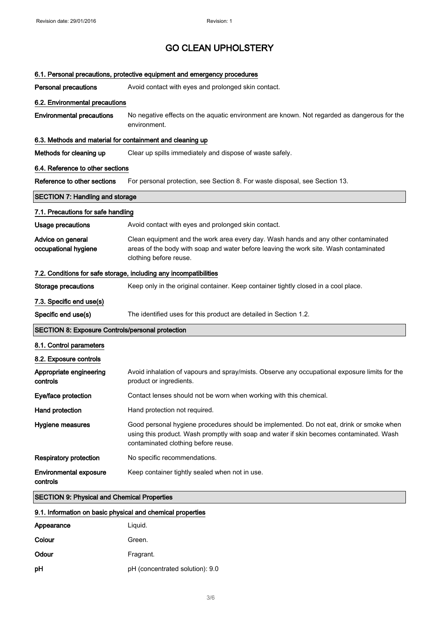|                                                            | 6.1. Personal precautions, protective equipment and emergency procedures                                                                                                                                                   |  |  |  |
|------------------------------------------------------------|----------------------------------------------------------------------------------------------------------------------------------------------------------------------------------------------------------------------------|--|--|--|
| <b>Personal precautions</b>                                | Avoid contact with eyes and prolonged skin contact.                                                                                                                                                                        |  |  |  |
| 6.2. Environmental precautions                             |                                                                                                                                                                                                                            |  |  |  |
| <b>Environmental precautions</b>                           | No negative effects on the aquatic environment are known. Not regarded as dangerous for the<br>environment.                                                                                                                |  |  |  |
| 6.3. Methods and material for containment and cleaning up  |                                                                                                                                                                                                                            |  |  |  |
| Methods for cleaning up                                    | Clear up spills immediately and dispose of waste safely.                                                                                                                                                                   |  |  |  |
| 6.4. Reference to other sections                           |                                                                                                                                                                                                                            |  |  |  |
| Reference to other sections                                | For personal protection, see Section 8. For waste disposal, see Section 13.                                                                                                                                                |  |  |  |
| <b>SECTION 7: Handling and storage</b>                     |                                                                                                                                                                                                                            |  |  |  |
| 7.1. Precautions for safe handling                         |                                                                                                                                                                                                                            |  |  |  |
| Usage precautions                                          | Avoid contact with eyes and prolonged skin contact.                                                                                                                                                                        |  |  |  |
| Advice on general<br>occupational hygiene                  | Clean equipment and the work area every day. Wash hands and any other contaminated<br>areas of the body with soap and water before leaving the work site. Wash contaminated<br>clothing before reuse.                      |  |  |  |
|                                                            | 7.2. Conditions for safe storage, including any incompatibilities                                                                                                                                                          |  |  |  |
| <b>Storage precautions</b>                                 | Keep only in the original container. Keep container tightly closed in a cool place.                                                                                                                                        |  |  |  |
| 7.3. Specific end use(s)                                   |                                                                                                                                                                                                                            |  |  |  |
| Specific end use(s)                                        | The identified uses for this product are detailed in Section 1.2.                                                                                                                                                          |  |  |  |
| <b>SECTION 8: Exposure Controls/personal protection</b>    |                                                                                                                                                                                                                            |  |  |  |
| 8.1. Control parameters                                    |                                                                                                                                                                                                                            |  |  |  |
| 8.2. Exposure controls                                     |                                                                                                                                                                                                                            |  |  |  |
| Appropriate engineering<br>controls                        | Avoid inhalation of vapours and spray/mists. Observe any occupational exposure limits for the<br>product or ingredients.                                                                                                   |  |  |  |
| Eye/face protection                                        | Contact lenses should not be worn when working with this chemical.                                                                                                                                                         |  |  |  |
| Hand protection                                            | Hand protection not required.                                                                                                                                                                                              |  |  |  |
| Hygiene measures                                           | Good personal hygiene procedures should be implemented. Do not eat, drink or smoke when<br>using this product. Wash promptly with soap and water if skin becomes contaminated. Wash<br>contaminated clothing before reuse. |  |  |  |
| <b>Respiratory protection</b>                              | No specific recommendations.                                                                                                                                                                                               |  |  |  |
| <b>Environmental exposure</b><br>controls                  | Keep container tightly sealed when not in use.                                                                                                                                                                             |  |  |  |
| <b>SECTION 9: Physical and Chemical Properties</b>         |                                                                                                                                                                                                                            |  |  |  |
| 9.1. Information on basic physical and chemical properties |                                                                                                                                                                                                                            |  |  |  |
| Appearance                                                 |                                                                                                                                                                                                                            |  |  |  |
|                                                            | Liquid.                                                                                                                                                                                                                    |  |  |  |

| Odour | Fragrant.                       |
|-------|---------------------------------|
| pН    | pH (concentrated solution): 9.0 |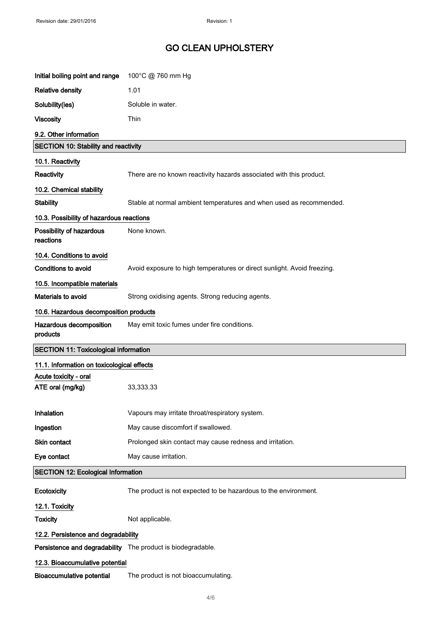| Initial boiling point and range                             | 100°C @ 760 mm Hg                                                       |
|-------------------------------------------------------------|-------------------------------------------------------------------------|
| <b>Relative density</b>                                     | 1.01                                                                    |
| Solubility(ies)                                             | Soluble in water.                                                       |
| <b>Viscosity</b>                                            | Thin                                                                    |
| 9.2. Other information                                      |                                                                         |
| <b>SECTION 10: Stability and reactivity</b>                 |                                                                         |
| 10.1. Reactivity                                            |                                                                         |
| Reactivity                                                  | There are no known reactivity hazards associated with this product.     |
| 10.2. Chemical stability                                    |                                                                         |
| <b>Stability</b>                                            | Stable at normal ambient temperatures and when used as recommended.     |
| 10.3. Possibility of hazardous reactions                    |                                                                         |
| Possibility of hazardous<br>reactions                       | None known.                                                             |
| 10.4. Conditions to avoid                                   |                                                                         |
| <b>Conditions to avoid</b>                                  | Avoid exposure to high temperatures or direct sunlight. Avoid freezing. |
| 10.5. Incompatible materials                                |                                                                         |
| Materials to avoid                                          | Strong oxidising agents. Strong reducing agents.                        |
| 10.6. Hazardous decomposition products                      |                                                                         |
| Hazardous decomposition<br>products                         | May emit toxic fumes under fire conditions.                             |
| <b>SECTION 11: Toxicological information</b>                |                                                                         |
| 11.1. Information on toxicological effects                  |                                                                         |
| Acute toxicity - oral<br>ATE oral (mg/kg)                   | 33,333.33                                                               |
| Inhalation                                                  | Vapours may irritate throat/respiratory system.                         |
| Ingestion                                                   | May cause discomfort if swallowed.                                      |
| Skin contact                                                | Prolonged skin contact may cause redness and irritation.                |
| Eye contact                                                 | May cause irritation.                                                   |
| <b>SECTION 12: Ecological Information</b>                   |                                                                         |
| Ecotoxicity                                                 | The product is not expected to be hazardous to the environment.         |
| 12.1. Toxicity                                              |                                                                         |
| <b>Toxicity</b>                                             | Not applicable.                                                         |
| 12.2. Persistence and degradability                         |                                                                         |
| Persistence and degradability The product is biodegradable. |                                                                         |
| 12.3. Bioaccumulative potential                             |                                                                         |
|                                                             | The product is not bioaccumulating.                                     |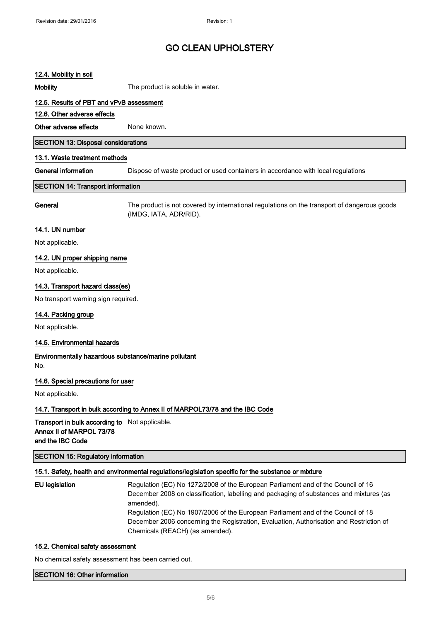## 12.4. Mobility in soil

Mobility **Mobility** The product is soluble in water.

### 12.5. Results of PBT and vPvB assessment

#### 12.6. Other adverse effects

Other adverse effects None known.

### SECTION 13: Disposal considerations

#### 13.1. Waste treatment methods

General information **Dispose of waste product or used containers in accordance with local requlations** 

#### SECTION 14: Transport information

General The product is not covered by international regulations on the transport of dangerous goods (IMDG, IATA, ADR/RID).

### 14.1. UN number

Not applicable.

## 14.2. UN proper shipping name

Not applicable.

### 14.3. Transport hazard class(es)

No transport warning sign required.

### 14.4. Packing group

Not applicable.

### 14.5. Environmental hazards

Environmentally hazardous substance/marine pollutant No.

### 14.6. Special precautions for user

Not applicable.

### 14.7. Transport in bulk according to Annex II of MARPOL73/78 and the IBC Code

Transport in bulk according to Not applicable. Annex II of MARPOL 73/78 and the IBC Code

## SECTION 15: Regulatory information

#### 15.1. Safety, health and environmental regulations/legislation specific for the substance or mixture

EU legislation Regulation (EC) No 1272/2008 of the European Parliament and of the Council of 16 December 2008 on classification, labelling and packaging of substances and mixtures (as amended). Regulation (EC) No 1907/2006 of the European Parliament and of the Council of 18 December 2006 concerning the Registration, Evaluation, Authorisation and Restriction of Chemicals (REACH) (as amended).

### 15.2. Chemical safety assessment

No chemical safety assessment has been carried out.

#### SECTION 16: Other information